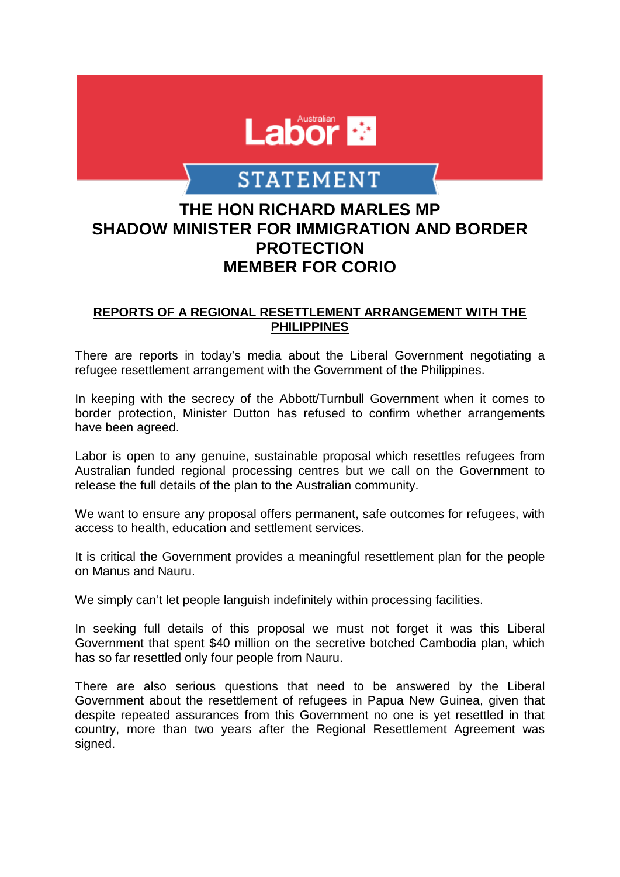

## **STATEMENT**

## **THE HON RICHARD MARLES MP SHADOW MINISTER FOR IMMIGRATION AND BORDER PROTECTION MEMBER FOR CORIO**

## **REPORTS OF A REGIONAL RESETTLEMENT ARRANGEMENT WITH THE PHILIPPINES**

There are reports in today's media about the Liberal Government negotiating a refugee resettlement arrangement with the Government of the Philippines.

In keeping with the secrecy of the Abbott/Turnbull Government when it comes to border protection, Minister Dutton has refused to confirm whether arrangements have been agreed.

Labor is open to any genuine, sustainable proposal which resettles refugees from Australian funded regional processing centres but we call on the Government to release the full details of the plan to the Australian community.

We want to ensure any proposal offers permanent, safe outcomes for refugees, with access to health, education and settlement services.

It is critical the Government provides a meaningful resettlement plan for the people on Manus and Nauru.

We simply can't let people languish indefinitely within processing facilities.

In seeking full details of this proposal we must not forget it was this Liberal Government that spent \$40 million on the secretive botched Cambodia plan, which has so far resettled only four people from Nauru.

There are also serious questions that need to be answered by the Liberal Government about the resettlement of refugees in Papua New Guinea, given that despite repeated assurances from this Government no one is yet resettled in that country, more than two years after the Regional Resettlement Agreement was signed.